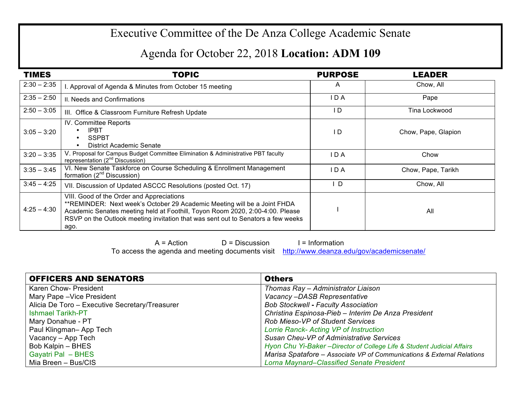## Executive Committee of the De Anza College Academic Senate

## Agenda for October 22, 2018 **Location: ADM 109**

| <b>TIMES</b>  | <b>TOPIC</b>                                                                                                                                                                                                                                                                                       | <b>PURPOSE</b> | <b>LEADER</b>       |
|---------------|----------------------------------------------------------------------------------------------------------------------------------------------------------------------------------------------------------------------------------------------------------------------------------------------------|----------------|---------------------|
| $2:30 - 2:35$ | I. Approval of Agenda & Minutes from October 15 meeting                                                                                                                                                                                                                                            | A              | Chow, All           |
| $2:35 - 2:50$ | II. Needs and Confirmations                                                                                                                                                                                                                                                                        | I D A          | Pape                |
| $2:50 - 3:05$ | III. Office & Classroom Furniture Refresh Update                                                                                                                                                                                                                                                   | I D            | Tina Lockwood       |
| $3:05 - 3:20$ | IV. Committee Reports<br><b>IPBT</b><br><b>SSPBT</b><br>$\bullet$<br>District Academic Senate                                                                                                                                                                                                      | I D            | Chow, Pape, Glapion |
| $3:20 - 3:35$ | V. Proposal for Campus Budget Committee Elimination & Administrative PBT faculty<br>representation (2 <sup>nd</sup> Discussion)                                                                                                                                                                    | IDA            | Chow                |
| $3:35 - 3:45$ | VI. New Senate Taskforce on Course Scheduling & Enrollment Management<br>formation $(2^{nd}$ Discussion)                                                                                                                                                                                           | I D A          | Chow, Pape, Tarikh  |
| $3:45 - 4:25$ | VII. Discussion of Updated ASCCC Resolutions (posted Oct. 17)                                                                                                                                                                                                                                      | D              | Chow, All           |
| $4:25 - 4:30$ | VIII. Good of the Order and Appreciations<br>**REMINDER: Next week's October 29 Academic Meeting will be a Joint FHDA<br>Academic Senates meeting held at Foothill, Toyon Room 2020, 2:00-4:00. Please<br>RSVP on the Outlook meeting invitation that was sent out to Senators a few weeks<br>ago. |                | All                 |

 $A = Action$  D = Discussion I = Information To access the agenda and meeting documents visit http://www.deanza.edu/gov/academicsenate/

| <b>OFFICERS AND SENATORS</b>                   | <b>Others</b>                                                           |
|------------------------------------------------|-------------------------------------------------------------------------|
| Karen Chow- President                          | Thomas Ray - Administrator Liaison                                      |
| Mary Pape - Vice President                     | Vacancy-DASB Representative                                             |
| Alicia De Toro - Executive Secretary/Treasurer | <b>Bob Stockwell - Faculty Association</b>                              |
| <b>Ishmael Tarikh-PT</b>                       | Christina Espinosa-Pieb - Interim De Anza President                     |
| Mary Donahue - PT                              | <b>Rob Mieso-VP of Student Services</b>                                 |
| Paul Klingman-App Tech                         | Lorrie Ranck- Acting VP of Instruction                                  |
| Vacancy - App Tech                             | Susan Cheu-VP of Administrative Services                                |
| Bob Kalpin - BHES                              | Hyon Chu Yi-Baker - Director of College Life & Student Judicial Affairs |
| Gayatri Pal - BHES                             | Marisa Spatafore - Associate VP of Communications & External Relations  |
| Mia Breen - Bus/CIS                            | <b>Lorna Maynard–Classified Senate President</b>                        |